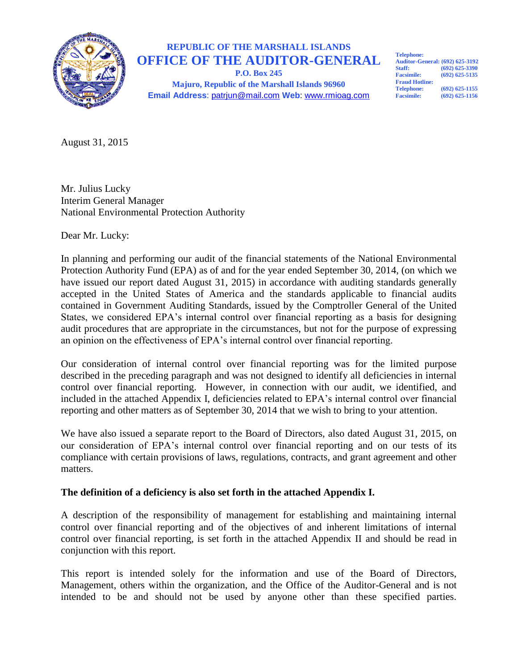

# **REPUBLIC OF THE MARSHALL ISLANDS OFFICE OF THE AUDITOR-GENERAL**

**P.O. Box 245 Majuro, Republic of the Marshall Islands 96960 Email Address**: patrjun@mail.com **Web**: www.rmioag.com **Telephone: Auditor-General: (692) 625-3192 Staff: (692) 625-3390 Facsimile: (692) 625-5135 Fraud Hotline: Telephone:** (692) 625-1155<br>**Facsimile:** (692) 625-1156 **Facsimile: (692) 625-1156**

August 31, 2015

Mr. Julius Lucky Interim General Manager National Environmental Protection Authority

Dear Mr. Lucky:

In planning and performing our audit of the financial statements of the National Environmental Protection Authority Fund (EPA) as of and for the year ended September 30, 2014, (on which we have issued our report dated August 31, 2015) in accordance with auditing standards generally accepted in the United States of America and the standards applicable to financial audits contained in Government Auditing Standards, issued by the Comptroller General of the United States, we considered EPA's internal control over financial reporting as a basis for designing audit procedures that are appropriate in the circumstances, but not for the purpose of expressing an opinion on the effectiveness of EPA's internal control over financial reporting.

Our consideration of internal control over financial reporting was for the limited purpose described in the preceding paragraph and was not designed to identify all deficiencies in internal control over financial reporting. However, in connection with our audit, we identified, and included in the attached Appendix I, deficiencies related to EPA's internal control over financial reporting and other matters as of September 30, 2014 that we wish to bring to your attention.

We have also issued a separate report to the Board of Directors, also dated August 31, 2015, on our consideration of EPA's internal control over financial reporting and on our tests of its compliance with certain provisions of laws, regulations, contracts, and grant agreement and other matters.

## **The definition of a deficiency is also set forth in the attached Appendix I.**

A description of the responsibility of management for establishing and maintaining internal control over financial reporting and of the objectives of and inherent limitations of internal control over financial reporting, is set forth in the attached Appendix II and should be read in conjunction with this report.

This report is intended solely for the information and use of the Board of Directors, Management, others within the organization, and the Office of the Auditor-General and is not intended to be and should not be used by anyone other than these specified parties.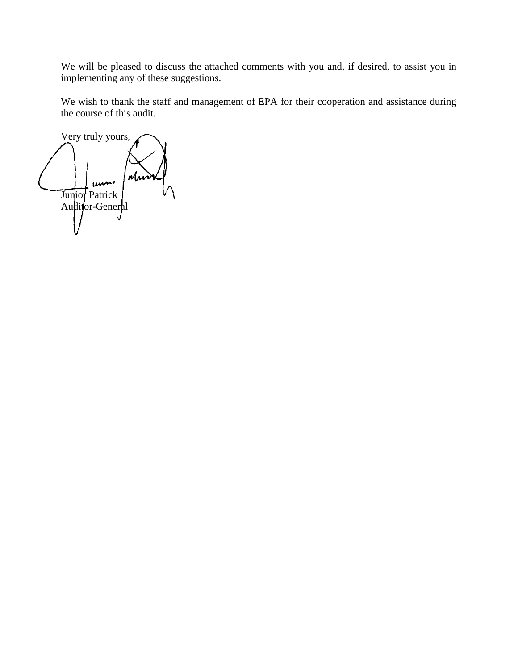We will be pleased to discuss the attached comments with you and, if desired, to assist you in implementing any of these suggestions.

We wish to thank the staff and management of EPA for their cooperation and assistance during the course of this audit.

Very truly yours, Junior Patrick Audi**f**or-General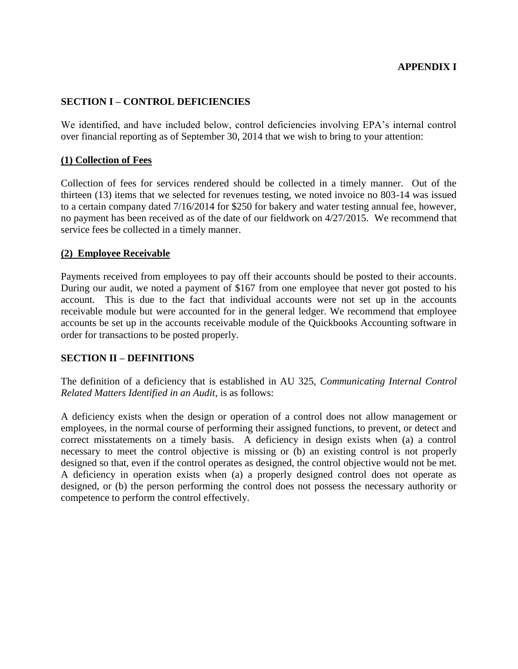## **SECTION I – CONTROL DEFICIENCIES**

We identified, and have included below, control deficiencies involving EPA's internal control over financial reporting as of September 30, 2014 that we wish to bring to your attention:

#### **(1) Collection of Fees**

Collection of fees for services rendered should be collected in a timely manner. Out of the thirteen (13) items that we selected for revenues testing, we noted invoice no 803-14 was issued to a certain company dated 7/16/2014 for \$250 for bakery and water testing annual fee, however, no payment has been received as of the date of our fieldwork on 4/27/2015. We recommend that service fees be collected in a timely manner.

## **(2) Employee Receivable**

Payments received from employees to pay off their accounts should be posted to their accounts. During our audit, we noted a payment of \$167 from one employee that never got posted to his account. This is due to the fact that individual accounts were not set up in the accounts receivable module but were accounted for in the general ledger. We recommend that employee accounts be set up in the accounts receivable module of the Quickbooks Accounting software in order for transactions to be posted properly.

#### **SECTION II – DEFINITIONS**

The definition of a deficiency that is established in AU 325, *Communicating Internal Control Related Matters Identified in an Audit*, is as follows:

A deficiency exists when the design or operation of a control does not allow management or employees, in the normal course of performing their assigned functions, to prevent, or detect and correct misstatements on a timely basis. A deficiency in design exists when (a) a control necessary to meet the control objective is missing or (b) an existing control is not properly designed so that, even if the control operates as designed, the control objective would not be met. A deficiency in operation exists when (a) a properly designed control does not operate as designed, or (b) the person performing the control does not possess the necessary authority or competence to perform the control effectively.